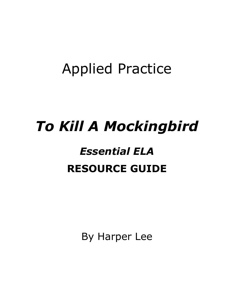## Applied Practice

# *To Kill A Mockingbird*

## *Essential ELA* **RESOURCE GUIDE**

By Harper Lee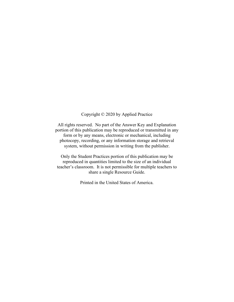### Copyright © 2020 by Applied Practice

All rights reserved. No part of the Answer Key and Explanation portion of this publication may be reproduced or transmitted in any form or by any means, electronic or mechanical, including photocopy, recording, or any information storage and retrieval system, without permission in writing from the publisher.

Only the Student Practices portion of this publication may be reproduced in quantities limited to the size of an individual teacher's classroom. It is not permissible for multiple teachers to share a single Resource Guide.

Printed in the United States of America.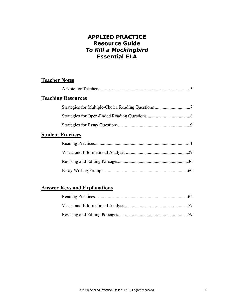## **APPLIED PRACTICE Resource Guide** *To Kill a Mockingbird*  **Essential ELA**

## **Teacher Notes**

| <b>Teaching Resources</b>                          |
|----------------------------------------------------|
| Strategies for Multiple-Choice Reading Questions 7 |
|                                                    |
|                                                    |
| <b>Student Practices</b>                           |
|                                                    |
|                                                    |
|                                                    |
|                                                    |

## **Answer Keys and Explanations**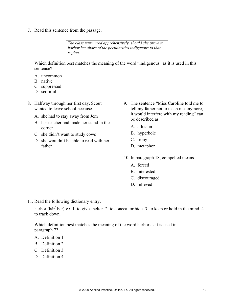7. Read this sentence from the passage.

*The class murmured apprehensively, should she prove to harbor her share of the peculiarities indigenous to that region.*

Which definition best matches the meaning of the word "indigenous" as it is used in this sentence?

- A. uncommon
- B. native
- C. suppressed
- D. scornful
- 8. Halfway through her first day, Scout wanted to leave school because
	- A. she had to stay away from Jem
	- B. her teacher had made her stand in the corner
	- C. she didn't want to study cows
	- D. she wouldn't be able to read with her father
- 9. The sentence "Miss Caroline told me to tell my father not to teach me anymore, it would interfere with my reading" can be described as
	- A. allusion
	- B. hyperbole
	- C. irony
	- D. metaphor
- 10. In paragraph 18, compelled means
	- A. forced
	- B. interested
	- C. discouraged
	- D. relieved

11. Read the following dictionary entry.

harbor (här <sup>ber</sup>) *v.t.* 1. to give shelter. 2. to conceal or hide. 3. to keep or hold in the mind. 4. to track down.

Which definition best matches the meaning of the word harbor as it is used in paragraph 7?

- A. Definition 1
- B. Definition 2
- C. Definition 3
- D. Definition 4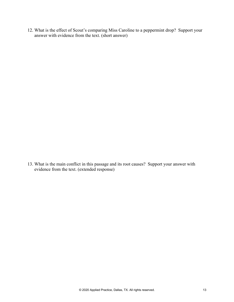12. What is the effect of Scout's comparing Miss Caroline to a peppermint drop? Support your answer with evidence from the text. (short answer)

13. What is the main conflict in this passage and its root causes? Support your answer with evidence from the text. (extended response)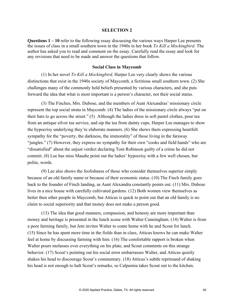#### **SELECTION 2**

**Questions 1 – 10** refer to the following essay discussing the various ways Harper Lee presents the issues of class in a small southern town in the 1940s in her book *To Kill a Mockingbird*. The author has asked you to read and comment on the essay. Carefully read the essay and look for any revisions that need to be made and answer the questions that follow.

### **Social Class in Maycomb**

 (1) In her novel *To Kill a Mockingbird,* Harper Lee very clearly shows the various distinctions that exist in the 1940s society of Maycomb, a fictitious small southern town. (2) She challenges many of the commonly held beliefs presented by various characters, and she puts forward the idea that what is most important is a person's character, not their social status.

 (3) The Finches, Mrs. Dubose, and the members of Aunt Alexandras' missionary circle represent the top social strata in Maycomb. (4) The ladies of the missionary circle always "put on their hats to go across the street." (5) Although the ladies dress in soft pastel clothes, pour tea from an antique silver tea service, and sip the tea from dainty cups, Harper Lee manages to show the hypocrisy underlying they're elaborate manners. (6) She shows them expressing heartfelt sympathy for the "poverty, the darkness, the immorality" of those living in the faraway "jungles." (7) However, they express no sympathy for their own "cooks and field hands" who are "dissatisfied" about the unjust verdict declaring Tom Robinson guilty of a crime he did not commit. (8) Lee has miss Maudie point out the ladies' hypocrisy with a few well chosen, but polite, words.

 (9) Lee also shows the foolishness of those who consider themselves superior simply because of an old family name or because of their economic status. (10) The Finch family goes back to the founder of Finch landing, as Aunt Alexandra constantly points out. (11) Mrs. Dubose lives in a nice house with carefully cultivated gardens. (12) Both women view themselves as better then other people in Maycomb, but Atticus is quick to point out that an old family is no claim to social superiority and that money does not make a person good.

 (13) The idea that good manners, compassion, and honesty are more important than money and heritage is presented in the lunch scene with Walter Cunningham. (14) Walter is from a poor farming family, but Jem invites Walter to come home with he and Scout for lunch. (15) Since he has spent more time in the fields than in class, Atticus knows he can make Walter feel at home by discussing farming with him. (16) The comfortable rapport is broken when Walter pours molasses over everything on his plate, and Scout comments on this strange behavior. (17) Scout's pointing out his social error embarrasses Walter, and Atticus quietly shakes his head to discourage Scout's commentary. (18) Atticus's subtle reprimand of shaking his head is not enough to halt Scout's remarks, so Calpurnia takes Scout out to the kitchen.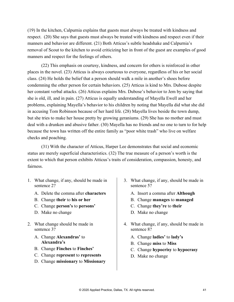(19) In the kitchen, Calpurnia explains that guests must always be treated with kindness and respect. (20) She says that guests must always be treated with kindness and respect even if their manners and behavior are different. (21) Both Atticus's subtle headshake and Calpurnia's removal of Scout to the kitchen to avoid criticizing her in front of the guest are examples of good manners and respect for the feelings of others.

 (22) This emphasis on courtesy, kindness, and concern for others is reinforced in other places in the novel. (23) Atticus is always courteous to everyone, regardless of his or her social class. (24) He holds the belief that a person should walk a mile in another's shoes before condemning the other person for certain behaviors. (25) Atticus is kind to Mrs. Dubose despite her constant verbal attacks. (26) Atticus explains Mrs. Dubose's behavior to Jem by saying that she is old, ill, and in pain. (27) Atticus is equally understanding of Mayella Ewell and her problems, explaining Mayella's behavior to his children by noting that Mayella did what she did in accusing Tom Robinson because of her hard life. (28) Mayella lives beside the town dump, but she tries to make her house pretty by growing geraniums. (29) She has no mother and must deal with a drunken and abusive father. (30) Mayella has no friends and no one to turn to for help because the town has written off the entire family as "poor white trash" who live on welfare checks and poaching.

(31) With the character of Atticus, Harper Lee demonstrates that social and economic status are merely superficial characteristics. (32) The true measure of a person's worth is the extent to which that person exhibits Atticus's traits of consideration, compassion, honesty, and fairness.

- 1. What change, if any, should be made in sentence 2?
	- A. Delete the comma after **characters**
	- B. Change **their** to **his or her**
	- C. Change **person's** to **persons'**
	- D. Make no change
- 2. What change should be made in sentence 3?
	- A. Change **Alexandras'** to **Alexandra's**
	- B. Change **Finches** to **Finches'**
	- C. Change **represent** to **represents**
	- D. Change **missionary** to **Missionary**
- 3. What change, if any, should be made in sentence 5?
	- A. Insert a comma after **Although**
	- B. Change **manages** to **managed**
	- C. Change **they're** to **their**
	- D. Make no change
- 4. What change, if any, should be made in sentence 8?
	- A. Change **ladies'** to **lady's**
	- B. Change **miss** to **Miss**
	- C. Change **hypocrisy** to **hypocrasy**
	- D. Make no change